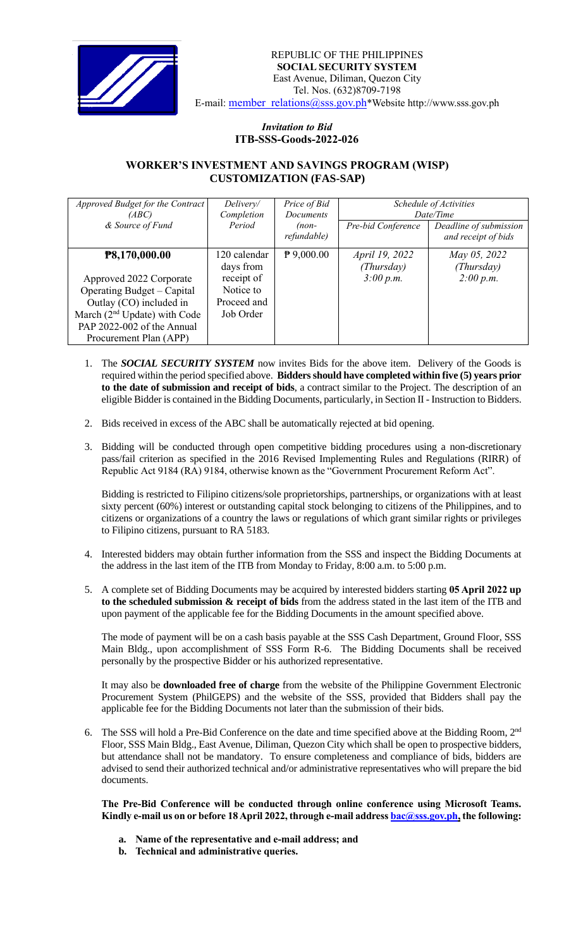

## *Invitation to Bid*  **ITB-SSS-Goods-2022-026**

## **WORKER'S INVESTMENT AND SAVINGS PROGRAM (WISP) CUSTOMIZATION (FAS-SAP)**

| Approved Budget for the Contract<br>(ABC) | Delivery/<br>Completion   | Price of Bid<br><b>Documents</b> | Schedule of Activities<br>Date/Time |                                               |
|-------------------------------------------|---------------------------|----------------------------------|-------------------------------------|-----------------------------------------------|
| & Source of Fund                          | Period                    | $(non-$<br>refundable)           | Pre-bid Conference                  | Deadline of submission<br>and receipt of bids |
| P8,170,000.00                             | 120 calendar<br>days from | $P$ 9,000.00                     | <i>April 19, 2022</i><br>(Thursday) | May 05, 2022<br>(Thursday)                    |
| Approved 2022 Corporate                   | receipt of                |                                  | 3:00 p.m.                           | 2:00 p.m.                                     |
| Operating Budget – Capital                | Notice to                 |                                  |                                     |                                               |
| Outlay (CO) included in                   | Proceed and               |                                  |                                     |                                               |
| March $(2nd Update)$ with Code            | Job Order                 |                                  |                                     |                                               |
| PAP 2022-002 of the Annual                |                           |                                  |                                     |                                               |
| Procurement Plan (APP)                    |                           |                                  |                                     |                                               |

- 1. The *SOCIAL SECURITY SYSTEM* now invites Bids for the above item. Delivery of the Goods is required within the period specified above. **Bidders should have completed within five (5) years prior to the date of submission and receipt of bids**, a contract similar to the Project. The description of an eligible Bidder is contained in the Bidding Documents, particularly, in Section II - Instruction to Bidders.
- 2. Bids received in excess of the ABC shall be automatically rejected at bid opening.
- 3. Bidding will be conducted through open competitive bidding procedures using a non-discretionary pass/fail criterion as specified in the 2016 Revised Implementing Rules and Regulations (RIRR) of Republic Act 9184 (RA) 9184, otherwise known as the "Government Procurement Reform Act".

Bidding is restricted to Filipino citizens/sole proprietorships, partnerships, or organizations with at least sixty percent (60%) interest or outstanding capital stock belonging to citizens of the Philippines, and to citizens or organizations of a country the laws or regulations of which grant similar rights or privileges to Filipino citizens, pursuant to RA 5183.

- 4. Interested bidders may obtain further information from the SSS and inspect the Bidding Documents at the address in the last item of the ITB from Monday to Friday, 8:00 a.m. to 5:00 p.m.
- 5. A complete set of Bidding Documents may be acquired by interested bidders starting **05 April 2022 up to the scheduled submission & receipt of bids** from the address stated in the last item of the ITB and upon payment of the applicable fee for the Bidding Documents in the amount specified above.

The mode of payment will be on a cash basis payable at the SSS Cash Department, Ground Floor, SSS Main Bldg., upon accomplishment of SSS Form R-6. The Bidding Documents shall be received personally by the prospective Bidder or his authorized representative.

It may also be **downloaded free of charge** from the website of the Philippine Government Electronic Procurement System (PhilGEPS) and the website of the SSS*,* provided that Bidders shall pay the applicable fee for the Bidding Documents not later than the submission of their bids.

6. The SSS will hold a Pre-Bid Conference on the date and time specified above at the Bidding Room, 2<sup>nd</sup> Floor, SSS Main Bldg., East Avenue, Diliman, Quezon City which shall be open to prospective bidders, but attendance shall not be mandatory. To ensure completeness and compliance of bids, bidders are advised to send their authorized technical and/or administrative representatives who will prepare the bid documents.

**The Pre-Bid Conference will be conducted through online conference using Microsoft Teams. Kindly e-mail us on or before 18April 2022, through e-mail address [bac@sss.gov.ph,](mailto:bac@sss.gov.ph) the following:**

- **a. Name of the representative and e-mail address; and**
- **b. Technical and administrative queries.**